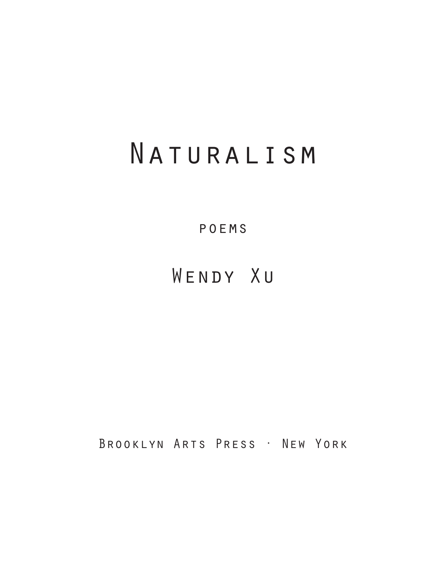# Naturalism

poems

Wendy Xu

Brooklyn Arts Press · New York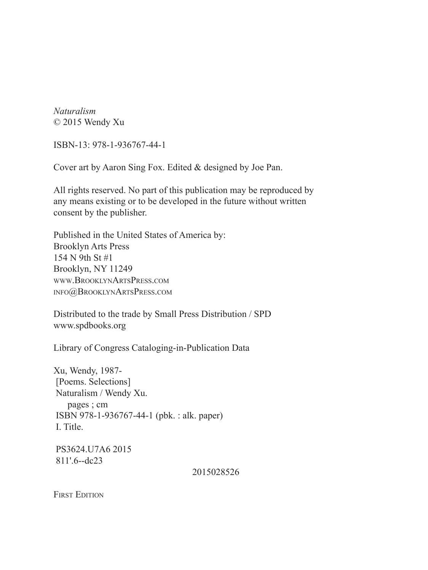*Naturalism* © 2015 Wendy Xu

ISBN-13: 978-1-936767-44-1

Cover art by Aaron Sing Fox. Edited & designed by Joe Pan.

All rights reserved. No part of this publication may be reproduced by any means existing or to be developed in the future without written consent by the publisher.

Published in the United States of America by: Brooklyn Arts Press 154 N 9th St #1 Brooklyn, NY 11249 www.BrooklynArtsPress.com info@BrooklynArtsPress.com

Distributed to the trade by Small Press Distribution / SPD www.spdbooks.org

Library of Congress Cataloging-in-Publication Data

Xu, Wendy, 1987- [Poems. Selections] Naturalism / Wendy Xu. pages ; cm ISBN 978-1-936767-44-1 (pbk. : alk. paper) I. Title.

 PS3624.U7A6 2015 811'.6--dc23

2015028526

**FIRST EDITION**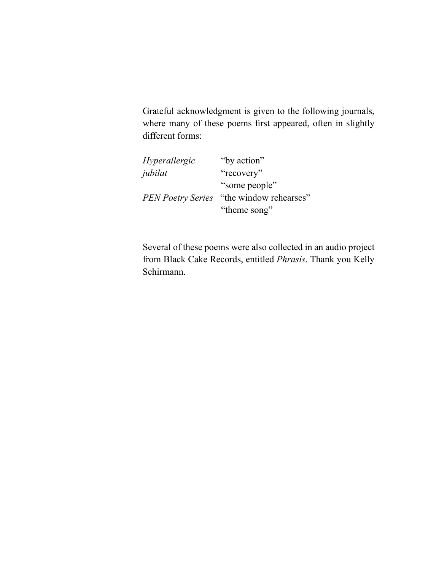Grateful acknowledgment is given to the following journals, where many of these poems first appeared, often in slightly different forms:

| Hyperallergic            | "by action"            |
|--------------------------|------------------------|
| jubilat                  | "recovery"             |
|                          | "some people"          |
| <b>PEN Poetry Series</b> | "the window rehearses" |
|                          | "theme song"           |

Several of these poems were also collected in an audio project from Black Cake Records, entitled *Phrasis*. Thank you Kelly Schirmann.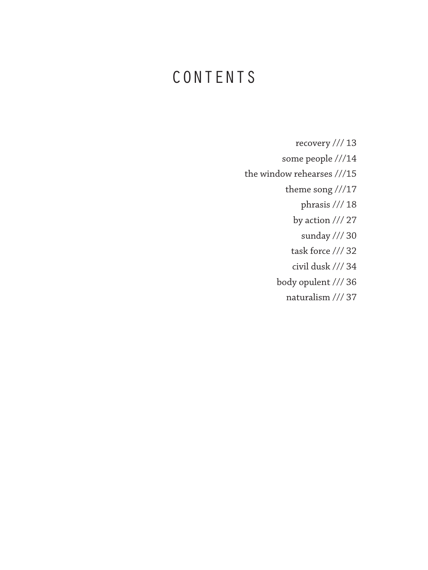# CONTENTS

- recovery /// 13
- some people ///14
- the window rehearses ///15
	- theme song ///17
		- phrasis /// 18
		- by action /// 27
			- sunday /// 30
		- task force /// 32
		- civil dusk /// 34
	- body opulent /// 36
		- naturalism /// 37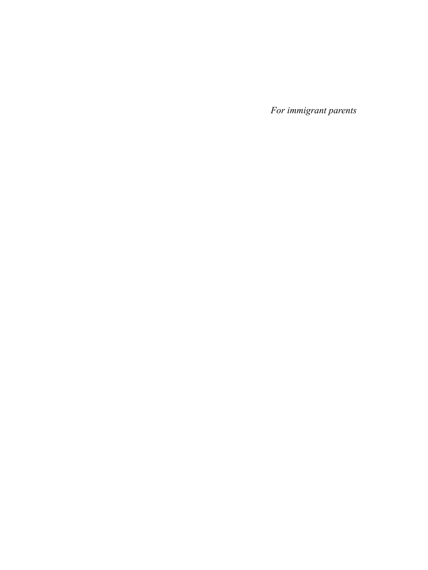*For immigrant parents*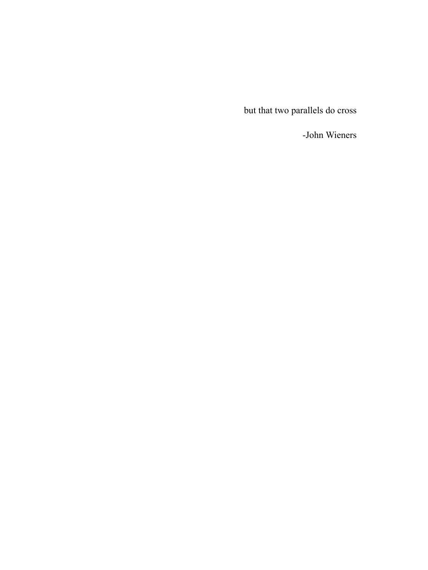but that two parallels do cross

-John Wieners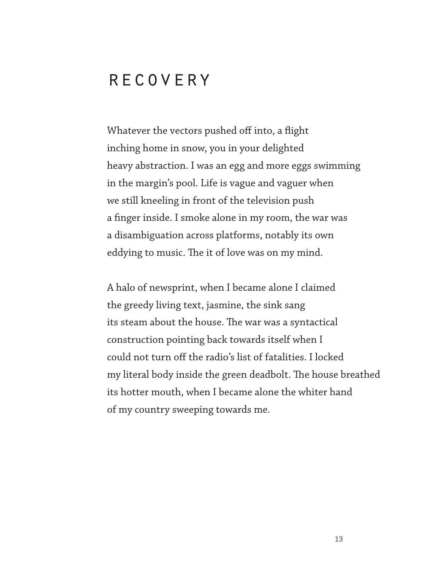#### **RECOVERY**

Whatever the vectors pushed off into, a flight inching home in snow, you in your delighted heavy abstraction. I was an egg and more eggs swimming in the margin's pool. Life is vague and vaguer when we still kneeling in front of the television push a finger inside. I smoke alone in my room, the war was a disambiguation across platforms, notably its own eddying to music. The it of love was on my mind.

A halo of newsprint, when I became alone I claimed the greedy living text, jasmine, the sink sang its steam about the house. The war was a syntactical construction pointing back towards itself when I could not turn off the radio's list of fatalities. I locked my literal body inside the green deadbolt. The house breathed its hotter mouth, when I became alone the whiter hand of my country sweeping towards me.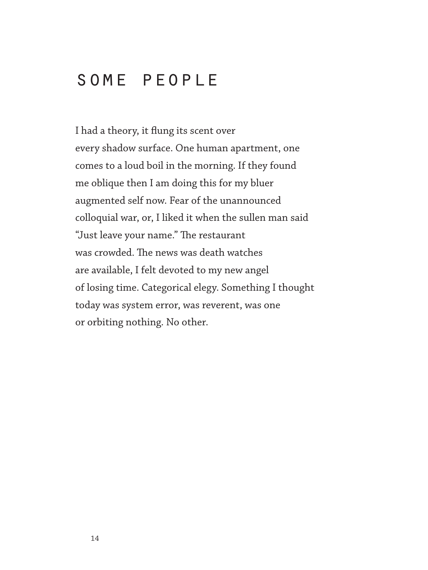## some people

I had a theory, it flung its scent over every shadow surface. One human apartment, one comes to a loud boil in the morning. If they found me oblique then I am doing this for my bluer augmented self now. Fear of the unannounced colloquial war, or, I liked it when the sullen man said "Just leave your name." The restaurant was crowded. The news was death watches are available, I felt devoted to my new angel of losing time. Categorical elegy. Something I thought today was system error, was reverent, was one or orbiting nothing. No other.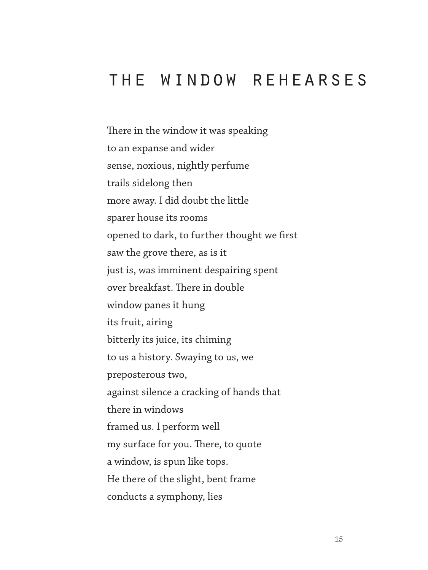## the window rehearses

There in the window it was speaking to an expanse and wider sense, noxious, nightly perfume trails sidelong then more away. I did doubt the little sparer house its rooms opened to dark, to further thought we first saw the grove there, as is it just is, was imminent despairing spent over breakfast. There in double window panes it hung its fruit, airing bitterly its juice, its chiming to us a history. Swaying to us, we preposterous two, against silence a cracking of hands that there in windows framed us. I perform well my surface for you. There, to quote a window, is spun like tops. He there of the slight, bent frame conducts a symphony, lies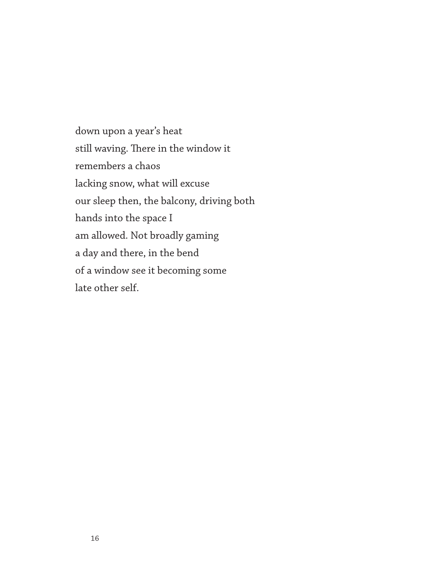down upon a year's heat still waving. There in the window it remembers a chaos lacking snow, what will excuse our sleep then, the balcony, driving both hands into the space I am allowed. Not broadly gaming a day and there, in the bend of a window see it becoming some late other self.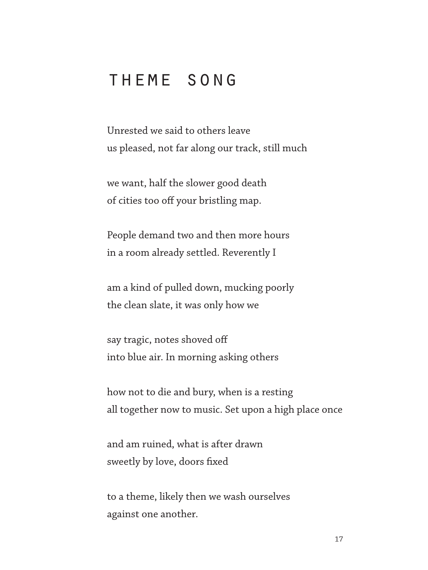## theme song

Unrested we said to others leave us pleased, not far along our track, still much

we want, half the slower good death of cities too off your bristling map.

People demand two and then more hours in a room already settled. Reverently I

am a kind of pulled down, mucking poorly the clean slate, it was only how we

say tragic, notes shoved off into blue air. In morning asking others

how not to die and bury, when is a resting all together now to music. Set upon a high place once

and am ruined, what is after drawn sweetly by love, doors fixed

to a theme, likely then we wash ourselves against one another.